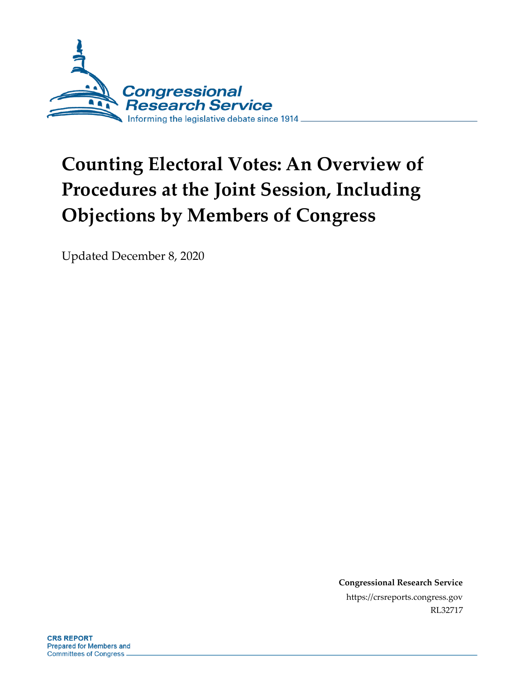

# **Counting Electoral Votes: An Overview of Procedures at the Joint Session, Including Objections by Members of Congress**

Updated December 8, 2020

**Congressional Research Service** https://crsreports.congress.gov RL32717

**CRS REPORT** Prepared for Members and **Committees of Congress**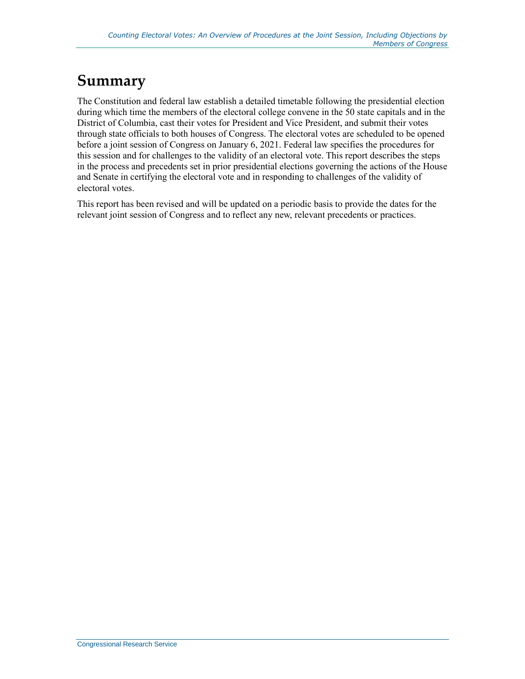# **Summary**

The Constitution and federal law establish a detailed timetable following the presidential election during which time the members of the electoral college convene in the 50 state capitals and in the District of Columbia, cast their votes for President and Vice President, and submit their votes through state officials to both houses of Congress. The electoral votes are scheduled to be opened before a joint session of Congress on January 6, 2021. Federal law specifies the procedures for this session and for challenges to the validity of an electoral vote. This report describes the steps in the process and precedents set in prior presidential elections governing the actions of the House and Senate in certifying the electoral vote and in responding to challenges of the validity of electoral votes.

This report has been revised and will be updated on a periodic basis to provide the dates for the relevant joint session of Congress and to reflect any new, relevant precedents or practices.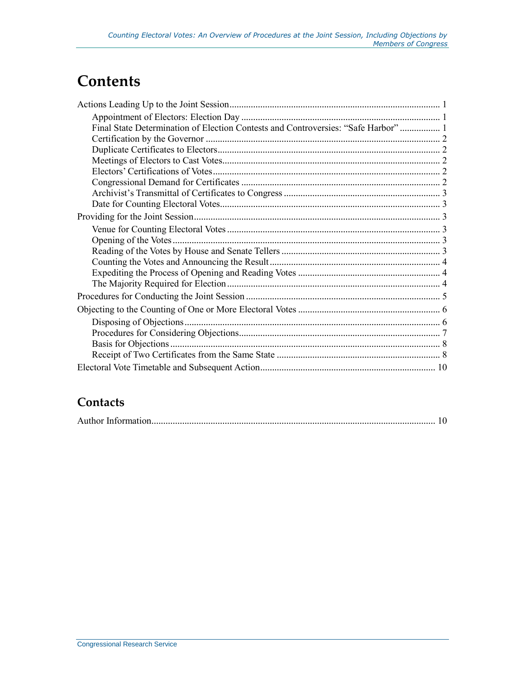# **Contents**

| Final State Determination of Election Contests and Controversies: "Safe Harbor"  1 |  |
|------------------------------------------------------------------------------------|--|
|                                                                                    |  |
|                                                                                    |  |
|                                                                                    |  |
|                                                                                    |  |
|                                                                                    |  |
|                                                                                    |  |
|                                                                                    |  |
|                                                                                    |  |
|                                                                                    |  |
|                                                                                    |  |
|                                                                                    |  |
|                                                                                    |  |
|                                                                                    |  |
|                                                                                    |  |
|                                                                                    |  |
|                                                                                    |  |
|                                                                                    |  |
|                                                                                    |  |
|                                                                                    |  |
|                                                                                    |  |
|                                                                                    |  |

#### **Contacts**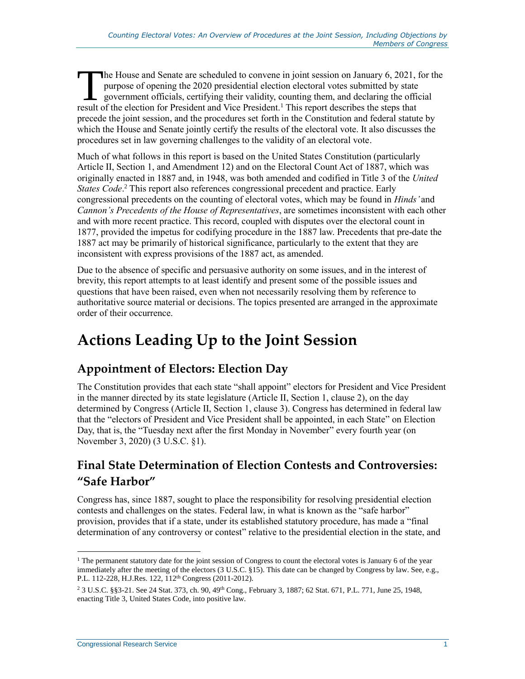he House and Senate are scheduled to convene in joint session on January 6, 2021, for the purpose of opening the 2020 presidential election electoral votes submitted by state government officials, certifying their validity, counting them, and declaring the official The House and Senate are scheduled to convene in joint session on January 6, 2021, purpose of opening the 2020 presidential election electoral votes submitted by state government officials, certifying their validity, count precede the joint session, and the procedures set forth in the Constitution and federal statute by which the House and Senate jointly certify the results of the electoral vote. It also discusses the procedures set in law governing challenges to the validity of an electoral vote.

Much of what follows in this report is based on the United States Constitution (particularly Article II, Section 1, and Amendment 12) and on the Electoral Count Act of 1887, which was originally enacted in 1887 and, in 1948, was both amended and codified in Title 3 of the *United States Code*. <sup>2</sup> This report also references congressional precedent and practice. Early congressional precedents on the counting of electoral votes, which may be found in *Hinds'* and *Cannon's Precedents of the House of Representatives*, are sometimes inconsistent with each other and with more recent practice. This record, coupled with disputes over the electoral count in 1877, provided the impetus for codifying procedure in the 1887 law. Precedents that pre-date the 1887 act may be primarily of historical significance, particularly to the extent that they are inconsistent with express provisions of the 1887 act, as amended.

Due to the absence of specific and persuasive authority on some issues, and in the interest of brevity, this report attempts to at least identify and present some of the possible issues and questions that have been raised, even when not necessarily resolving them by reference to authoritative source material or decisions. The topics presented are arranged in the approximate order of their occurrence.

# <span id="page-3-0"></span>**Actions Leading Up to the Joint Session**

#### <span id="page-3-1"></span>**Appointment of Electors: Election Day**

The Constitution provides that each state "shall appoint" electors for President and Vice President in the manner directed by its state legislature (Article II, Section 1, clause 2), on the day determined by Congress (Article II, Section 1, clause 3). Congress has determined in federal law that the "electors of President and Vice President shall be appointed, in each State" on Election Day, that is, the "Tuesday next after the first Monday in November" every fourth year (on November 3, 2020) (3 U.S.C. §1).

#### <span id="page-3-2"></span>**Final State Determination of Election Contests and Controversies: "Safe Harbor"**

Congress has, since 1887, sought to place the responsibility for resolving presidential election contests and challenges on the states. Federal law, in what is known as the "safe harbor" provision, provides that if a state, under its established statutory procedure, has made a "final determination of any controversy or contest" relative to the presidential election in the state, and

 $\overline{a}$  $1$  The permanent statutory date for the joint session of Congress to count the electoral votes is January 6 of the year immediately after the meeting of the electors (3 U.S.C. §15). This date can be changed by Congress by law. See, e.g., P.L. 112-228, H.J.Res. 122, 112th Congress (2011-2012).

<sup>2</sup> 3 U.S.C. §§3-21. See 24 Stat. 373, ch. 90, 49th Cong., February 3, 1887; 62 Stat. 671, P.L. 771, June 25, 1948, enacting Title 3, United States Code, into positive law.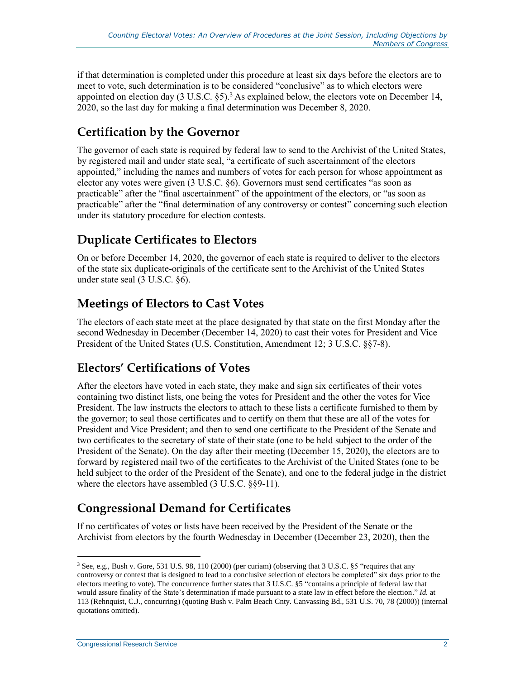if that determination is completed under this procedure at least six days before the electors are to meet to vote, such determination is to be considered "conclusive" as to which electors were appointed on election day  $(3 \text{ U.S.C. } \S 5)^3$ . As explained below, the electors vote on December 14, 2020, so the last day for making a final determination was December 8, 2020.

#### <span id="page-4-0"></span>**Certification by the Governor**

The governor of each state is required by federal law to send to the Archivist of the United States, by registered mail and under state seal, "a certificate of such ascertainment of the electors appointed," including the names and numbers of votes for each person for whose appointment as elector any votes were given (3 U.S.C. §6). Governors must send certificates "as soon as practicable" after the "final ascertainment" of the appointment of the electors, or "as soon as practicable" after the "final determination of any controversy or contest" concerning such election under its statutory procedure for election contests.

#### <span id="page-4-1"></span>**Duplicate Certificates to Electors**

On or before December 14, 2020, the governor of each state is required to deliver to the electors of the state six duplicate-originals of the certificate sent to the Archivist of the United States under state seal (3 U.S.C. §6).

#### <span id="page-4-2"></span>**Meetings of Electors to Cast Votes**

The electors of each state meet at the place designated by that state on the first Monday after the second Wednesday in December (December 14, 2020) to cast their votes for President and Vice President of the United States (U.S. Constitution, Amendment 12; 3 U.S.C. §§7-8).

#### <span id="page-4-3"></span>**Electors' Certifications of Votes**

After the electors have voted in each state, they make and sign six certificates of their votes containing two distinct lists, one being the votes for President and the other the votes for Vice President. The law instructs the electors to attach to these lists a certificate furnished to them by the governor; to seal those certificates and to certify on them that these are all of the votes for President and Vice President; and then to send one certificate to the President of the Senate and two certificates to the secretary of state of their state (one to be held subject to the order of the President of the Senate). On the day after their meeting (December 15, 2020), the electors are to forward by registered mail two of the certificates to the Archivist of the United States (one to be held subject to the order of the President of the Senate), and one to the federal judge in the district where the electors have assembled (3 U.S.C. §§9-11).

#### <span id="page-4-4"></span>**Congressional Demand for Certificates**

If no certificates of votes or lists have been received by the President of the Senate or the Archivist from electors by the fourth Wednesday in December (December 23, 2020), then the

 $3$  See, e.g., Bush v. Gore, 531 U.S. 98, 110 (2000) (per curiam) (observing that 3 U.S.C. §5 "requires that any controversy or contest that is designed to lead to a conclusive selection of electors be completed" six days prior to the electors meeting to vote). The concurrence further states that 3 U.S.C. §5 "contains a principle of federal law that would assure finality of the State's determination if made pursuant to a state law in effect before the election." *Id.* at 113 (Rehnquist, C.J., concurring) (quoting Bush v. Palm Beach Cnty. Canvassing Bd., 531 U.S. 70, 78 (2000)) (internal quotations omitted).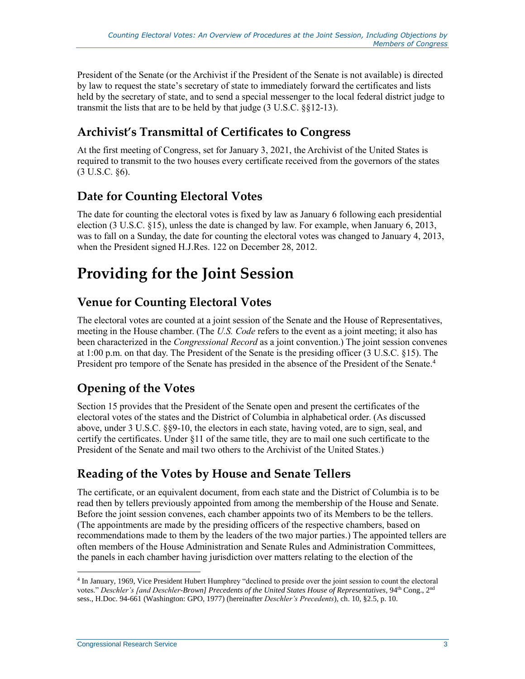President of the Senate (or the Archivist if the President of the Senate is not available) is directed by law to request the state's secretary of state to immediately forward the certificates and lists held by the secretary of state, and to send a special messenger to the local federal district judge to transmit the lists that are to be held by that judge (3 U.S.C. §§12-13).

#### <span id="page-5-0"></span>**Archivist's Transmittal of Certificates to Congress**

At the first meeting of Congress, set for January 3, 2021, the Archivist of the United States is required to transmit to the two houses every certificate received from the governors of the states (3 U.S.C. §6).

#### <span id="page-5-1"></span>**Date for Counting Electoral Votes**

The date for counting the electoral votes is fixed by law as January 6 following each presidential election (3 U.S.C. §15), unless the date is changed by law. For example, when January 6, 2013, was to fall on a Sunday, the date for counting the electoral votes was changed to January 4, 2013, when the President signed H.J.Res. 122 on December 28, 2012.

# <span id="page-5-2"></span>**Providing for the Joint Session**

#### <span id="page-5-3"></span>**Venue for Counting Electoral Votes**

The electoral votes are counted at a joint session of the Senate and the House of Representatives, meeting in the House chamber. (The *U.S. Code* refers to the event as a joint meeting; it also has been characterized in the *Congressional Record* as a joint convention.) The joint session convenes at 1:00 p.m. on that day. The President of the Senate is the presiding officer (3 U.S.C. §15). The President pro tempore of the Senate has presided in the absence of the President of the Senate.<sup>4</sup>

#### <span id="page-5-4"></span>**Opening of the Votes**

Section 15 provides that the President of the Senate open and present the certificates of the electoral votes of the states and the District of Columbia in alphabetical order. (As discussed above, under 3 U.S.C. §§9-10, the electors in each state, having voted, are to sign, seal, and certify the certificates. Under §11 of the same title, they are to mail one such certificate to the President of the Senate and mail two others to the Archivist of the United States.)

#### <span id="page-5-5"></span>**Reading of the Votes by House and Senate Tellers**

The certificate, or an equivalent document, from each state and the District of Columbia is to be read then by tellers previously appointed from among the membership of the House and Senate. Before the joint session convenes, each chamber appoints two of its Members to be the tellers. (The appointments are made by the presiding officers of the respective chambers, based on recommendations made to them by the leaders of the two major parties.) The appointed tellers are often members of the House Administration and Senate Rules and Administration Committees, the panels in each chamber having jurisdiction over matters relating to the election of the

<sup>4</sup> In January, 1969, Vice President Hubert Humphrey "declined to preside over the joint session to count the electoral votes." *Deschler's [and Deschler-Brown] Precedents of the United States House of Representatives*, 94<sup>th</sup> Cong., 2<sup>nd</sup> sess., H.Doc. 94-661 (Washington: GPO, 1977) (hereinafter *Deschler's Precedents*), ch. 10, §2.5, p. 10.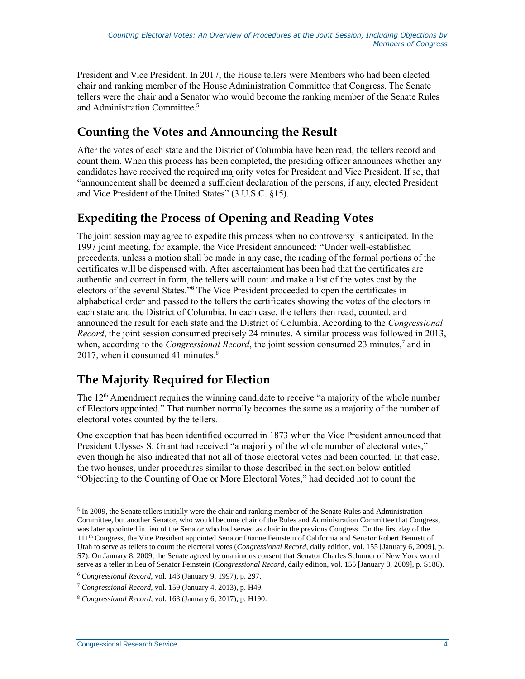President and Vice President. In 2017, the House tellers were Members who had been elected chair and ranking member of the House Administration Committee that Congress. The Senate tellers were the chair and a Senator who would become the ranking member of the Senate Rules and Administration Committee. 5

#### <span id="page-6-0"></span>**Counting the Votes and Announcing the Result**

After the votes of each state and the District of Columbia have been read, the tellers record and count them. When this process has been completed, the presiding officer announces whether any candidates have received the required majority votes for President and Vice President. If so, that "announcement shall be deemed a sufficient declaration of the persons, if any, elected President and Vice President of the United States" (3 U.S.C. §15).

#### <span id="page-6-1"></span>**Expediting the Process of Opening and Reading Votes**

The joint session may agree to expedite this process when no controversy is anticipated. In the 1997 joint meeting, for example, the Vice President announced: "Under well-established precedents, unless a motion shall be made in any case, the reading of the formal portions of the certificates will be dispensed with. After ascertainment has been had that the certificates are authentic and correct in form, the tellers will count and make a list of the votes cast by the electors of the several States." <sup>6</sup> The Vice President proceeded to open the certificates in alphabetical order and passed to the tellers the certificates showing the votes of the electors in each state and the District of Columbia. In each case, the tellers then read, counted, and announced the result for each state and the District of Columbia. According to the *Congressional Record*, the joint session consumed precisely 24 minutes. A similar process was followed in 2013, when, according to the *Congressional Record*, the joint session consumed 23 minutes,<sup>7</sup> and in 2017, when it consumed 41 minutes. $8<sup>8</sup>$ 

#### <span id="page-6-2"></span>**The Majority Required for Election**

The  $12<sup>th</sup>$  Amendment requires the winning candidate to receive "a majority of the whole number of Electors appointed." That number normally becomes the same as a majority of the number of electoral votes counted by the tellers.

One exception that has been identified occurred in 1873 when the Vice President announced that President Ulysses S. Grant had received "a majority of the whole number of electoral votes," even though he also indicated that not all of those electoral votes had been counted. In that case, the two houses, under procedures similar to those described in the section below entitled "Objecting to the Counting of One or More Electoral Votes," had decided not to count the

 $\overline{a}$ <sup>5</sup> In 2009, the Senate tellers initially were the chair and ranking member of the Senate Rules and Administration Committee, but another Senator, who would become chair of the Rules and Administration Committee that Congress, was later appointed in lieu of the Senator who had served as chair in the previous Congress. On the first day of the 111<sup>th</sup> Congress, the Vice President appointed Senator Dianne Feinstein of California and Senator Robert Bennett of Utah to serve as tellers to count the electoral votes (*Congressional Record*, daily edition, vol. 155 [January 6, 2009], p. S7). On January 8, 2009, the Senate agreed by unanimous consent that Senator Charles Schumer of New York would serve as a teller in lieu of Senator Feinstein (*Congressional Record*, daily edition, vol. 155 [January 8, 2009], p. S186).

<sup>6</sup> *Congressional Record*, vol. 143 (January 9, 1997), p. 297.

<sup>7</sup> *Congressional Record*, vol. 159 (January 4, 2013), p. H49.

<sup>8</sup> *Congressional Record*, vol. 163 (January 6, 2017), p. H190.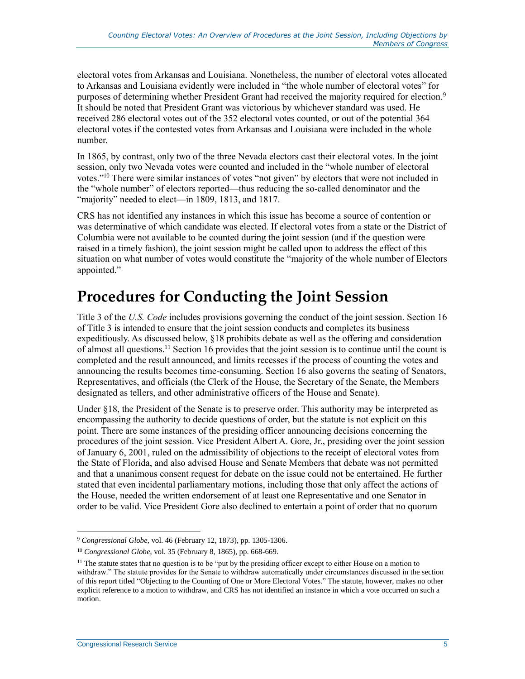electoral votes from Arkansas and Louisiana. Nonetheless, the number of electoral votes allocated to Arkansas and Louisiana evidently were included in "the whole number of electoral votes" for purposes of determining whether President Grant had received the majority required for election.<sup>9</sup> It should be noted that President Grant was victorious by whichever standard was used. He received 286 electoral votes out of the 352 electoral votes counted, or out of the potential 364 electoral votes if the contested votes from Arkansas and Louisiana were included in the whole number.

In 1865, by contrast, only two of the three Nevada electors cast their electoral votes. In the joint session, only two Nevada votes were counted and included in the "whole number of electoral votes."<sup>10</sup> There were similar instances of votes "not given" by electors that were not included in the "whole number" of electors reported—thus reducing the so-called denominator and the "majority" needed to elect—in 1809, 1813, and 1817.

CRS has not identified any instances in which this issue has become a source of contention or was determinative of which candidate was elected. If electoral votes from a state or the District of Columbia were not available to be counted during the joint session (and if the question were raised in a timely fashion), the joint session might be called upon to address the effect of this situation on what number of votes would constitute the "majority of the whole number of Electors appointed."

# <span id="page-7-0"></span>**Procedures for Conducting the Joint Session**

Title 3 of the *U.S. Code* includes provisions governing the conduct of the joint session. Section 16 of Title 3 is intended to ensure that the joint session conducts and completes its business expeditiously. As discussed below, §18 prohibits debate as well as the offering and consideration of almost all questions.<sup>11</sup> Section 16 provides that the joint session is to continue until the count is completed and the result announced, and limits recesses if the process of counting the votes and announcing the results becomes time-consuming. Section 16 also governs the seating of Senators, Representatives, and officials (the Clerk of the House, the Secretary of the Senate, the Members designated as tellers, and other administrative officers of the House and Senate).

Under §18, the President of the Senate is to preserve order. This authority may be interpreted as encompassing the authority to decide questions of order, but the statute is not explicit on this point. There are some instances of the presiding officer announcing decisions concerning the procedures of the joint session. Vice President Albert A. Gore, Jr., presiding over the joint session of January 6, 2001, ruled on the admissibility of objections to the receipt of electoral votes from the State of Florida, and also advised House and Senate Members that debate was not permitted and that a unanimous consent request for debate on the issue could not be entertained. He further stated that even incidental parliamentary motions, including those that only affect the actions of the House, needed the written endorsement of at least one Representative and one Senator in order to be valid. Vice President Gore also declined to entertain a point of order that no quorum

<sup>9</sup> *Congressional Globe*, vol. 46 (February 12, 1873), pp. 1305-1306.

<sup>10</sup> *Congressional Globe*, vol. 35 (February 8, 1865), pp. 668-669.

 $11$  The statute states that no question is to be "put by the presiding officer except to either House on a motion to withdraw." The statute provides for the Senate to withdraw automatically under circumstances discussed in the section of this report titled ["Objecting to the Counting of One or More Electoral](#page-8-0) Votes." The statute, however, makes no other explicit reference to a motion to withdraw, and CRS has not identified an instance in which a vote occurred on such a motion.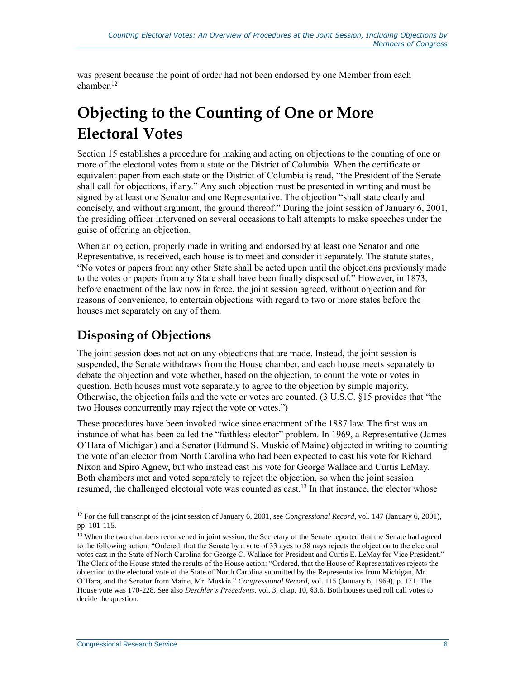was present because the point of order had not been endorsed by one Member from each chamber.<sup>12</sup>

# <span id="page-8-0"></span>**Objecting to the Counting of One or More Electoral Votes**

Section 15 establishes a procedure for making and acting on objections to the counting of one or more of the electoral votes from a state or the District of Columbia. When the certificate or equivalent paper from each state or the District of Columbia is read, "the President of the Senate shall call for objections, if any." Any such objection must be presented in writing and must be signed by at least one Senator and one Representative. The objection "shall state clearly and concisely, and without argument, the ground thereof." During the joint session of January 6, 2001, the presiding officer intervened on several occasions to halt attempts to make speeches under the guise of offering an objection.

When an objection, properly made in writing and endorsed by at least one Senator and one Representative, is received, each house is to meet and consider it separately. The statute states, "No votes or papers from any other State shall be acted upon until the objections previously made to the votes or papers from any State shall have been finally disposed of." However, in 1873, before enactment of the law now in force, the joint session agreed, without objection and for reasons of convenience, to entertain objections with regard to two or more states before the houses met separately on any of them.

#### <span id="page-8-1"></span>**Disposing of Objections**

The joint session does not act on any objections that are made. Instead, the joint session is suspended, the Senate withdraws from the House chamber, and each house meets separately to debate the objection and vote whether, based on the objection, to count the vote or votes in question. Both houses must vote separately to agree to the objection by simple majority. Otherwise, the objection fails and the vote or votes are counted. (3 U.S.C. §15 provides that "the two Houses concurrently may reject the vote or votes.")

These procedures have been invoked twice since enactment of the 1887 law. The first was an instance of what has been called the "faithless elector" problem. In 1969, a Representative (James O'Hara of Michigan) and a Senator (Edmund S. Muskie of Maine) objected in writing to counting the vote of an elector from North Carolina who had been expected to cast his vote for Richard Nixon and Spiro Agnew, but who instead cast his vote for George Wallace and Curtis LeMay. Both chambers met and voted separately to reject the objection, so when the joint session resumed, the challenged electoral vote was counted as cast.<sup>13</sup> In that instance, the elector whose

<sup>12</sup> For the full transcript of the joint session of January 6, 2001, see *Congressional Record*, vol. 147 (January 6, 2001), pp. 101-115.

<sup>&</sup>lt;sup>13</sup> When the two chambers reconvened in joint session, the Secretary of the Senate reported that the Senate had agreed to the following action: "Ordered, that the Senate by a vote of 33 ayes to 58 nays rejects the objection to the electoral votes cast in the State of North Carolina for George C. Wallace for President and Curtis E. LeMay for Vice President." The Clerk of the House stated the results of the House action: "Ordered, that the House of Representatives rejects the objection to the electoral vote of the State of North Carolina submitted by the Representative from Michigan, Mr. O'Hara, and the Senator from Maine, Mr. Muskie." *Congressional Record*, vol. 115 (January 6, 1969), p. 171. The House vote was 170-228. See also *Deschler's Precedents*, vol. 3, chap. 10, §3.6. Both houses used roll call votes to decide the question.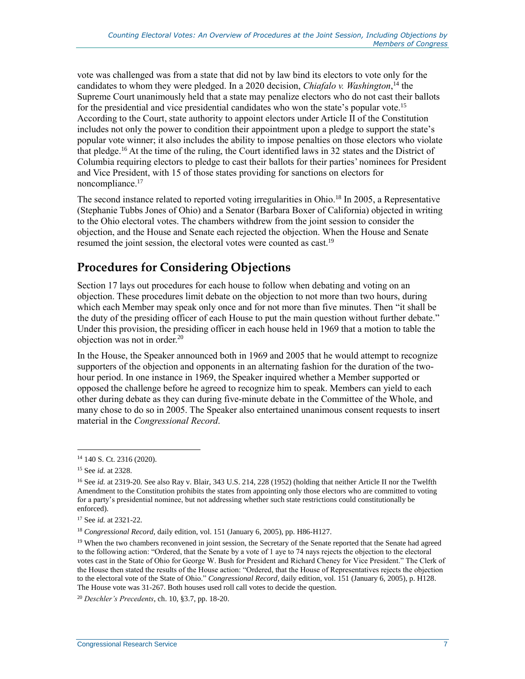vote was challenged was from a state that did not by law bind its electors to vote only for the candidates to whom they were pledged. In a 2020 decision, *Chiafalo v. Washington*, <sup>14</sup> the Supreme Court unanimously held that a state may penalize electors who do not cast their ballots for the presidential and vice presidential candidates who won the state's popular vote.<sup>15</sup> According to the Court, state authority to appoint electors under Article II of the Constitution includes not only the power to condition their appointment upon a pledge to support the state's popular vote winner; it also includes the ability to impose penalties on those electors who violate that pledge. <sup>16</sup> At the time of the ruling, the Court identified laws in 32 states and the District of Columbia requiring electors to pledge to cast their ballots for their parties' nominees for President and Vice President, with 15 of those states providing for sanctions on electors for noncompliance.<sup>17</sup>

The second instance related to reported voting irregularities in Ohio.<sup>18</sup> In 2005, a Representative (Stephanie Tubbs Jones of Ohio) and a Senator (Barbara Boxer of California) objected in writing to the Ohio electoral votes. The chambers withdrew from the joint session to consider the objection, and the House and Senate each rejected the objection. When the House and Senate resumed the joint session, the electoral votes were counted as cast.<sup>19</sup>

#### <span id="page-9-0"></span>**Procedures for Considering Objections**

Section 17 lays out procedures for each house to follow when debating and voting on an objection. These procedures limit debate on the objection to not more than two hours, during which each Member may speak only once and for not more than five minutes. Then "it shall be the duty of the presiding officer of each House to put the main question without further debate." Under this provision, the presiding officer in each house held in 1969 that a motion to table the objection was not in order.<sup>20</sup>

In the House, the Speaker announced both in 1969 and 2005 that he would attempt to recognize supporters of the objection and opponents in an alternating fashion for the duration of the twohour period. In one instance in 1969, the Speaker inquired whether a Member supported or opposed the challenge before he agreed to recognize him to speak. Members can yield to each other during debate as they can during five-minute debate in the Committee of the Whole, and many chose to do so in 2005. The Speaker also entertained unanimous consent requests to insert material in the *Congressional Record*.

<sup>14</sup> 140 S. Ct. 2316 (2020).

<sup>15</sup> See *id.* at 2328.

<sup>&</sup>lt;sup>16</sup> See *id.* at 2319-20. See also Ray v. Blair, 343 U.S. 214, 228 (1952) (holding that neither Article II nor the Twelfth Amendment to the Constitution prohibits the states from appointing only those electors who are committed to voting for a party's presidential nominee, but not addressing whether such state restrictions could constitutionally be enforced).

<sup>17</sup> See *id.* at 2321-22.

<sup>18</sup> *Congressional Record*, daily edition, vol. 151 (January 6, 2005), pp. H86-H127.

<sup>&</sup>lt;sup>19</sup> When the two chambers reconvened in joint session, the Secretary of the Senate reported that the Senate had agreed to the following action: "Ordered, that the Senate by a vote of 1 aye to 74 nays rejects the objection to the electoral votes cast in the State of Ohio for George W. Bush for President and Richard Cheney for Vice President." The Clerk of the House then stated the results of the House action: "Ordered, that the House of Representatives rejects the objection to the electoral vote of the State of Ohio." *Congressional Record*, daily edition, vol. 151 (January 6, 2005), p. H128. The House vote was 31-267. Both houses used roll call votes to decide the question.

<sup>20</sup> *Deschler's Precedents*, ch. 10, §3.7, pp. 18-20.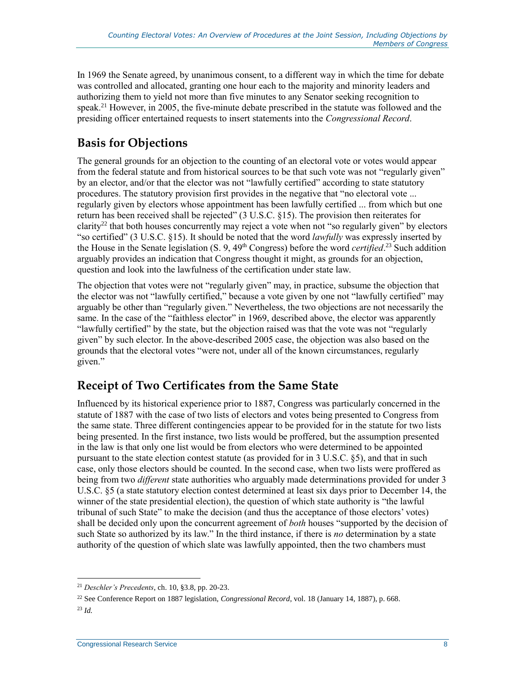In 1969 the Senate agreed, by unanimous consent, to a different way in which the time for debate was controlled and allocated, granting one hour each to the majority and minority leaders and authorizing them to yield not more than five minutes to any Senator seeking recognition to speak.<sup>21</sup> However, in 2005, the five-minute debate prescribed in the statute was followed and the presiding officer entertained requests to insert statements into the *Congressional Record*.

#### <span id="page-10-0"></span>**Basis for Objections**

The general grounds for an objection to the counting of an electoral vote or votes would appear from the federal statute and from historical sources to be that such vote was not "regularly given" by an elector, and/or that the elector was not "lawfully certified" according to state statutory procedures. The statutory provision first provides in the negative that "no electoral vote ... regularly given by electors whose appointment has been lawfully certified ... from which but one return has been received shall be rejected" (3 U.S.C. §15). The provision then reiterates for clarity<sup>22</sup> that both houses concurrently may reject a vote when not "so regularly given" by electors "so certified" (3 U.S.C. §15). It should be noted that the word *lawfully* was expressly inserted by the House in the Senate legislation (S. 9, 49<sup>th</sup> Congress) before the word *certified*.<sup>23</sup> Such addition arguably provides an indication that Congress thought it might, as grounds for an objection, question and look into the lawfulness of the certification under state law.

The objection that votes were not "regularly given" may, in practice, subsume the objection that the elector was not "lawfully certified," because a vote given by one not "lawfully certified" may arguably be other than "regularly given." Nevertheless, the two objections are not necessarily the same. In the case of the "faithless elector" in 1969, described above, the elector was apparently "lawfully certified" by the state, but the objection raised was that the vote was not "regularly given" by such elector. In the above-described 2005 case, the objection was also based on the grounds that the electoral votes "were not, under all of the known circumstances, regularly given."

#### <span id="page-10-1"></span>**Receipt of Two Certificates from the Same State**

Influenced by its historical experience prior to 1887, Congress was particularly concerned in the statute of 1887 with the case of two lists of electors and votes being presented to Congress from the same state. Three different contingencies appear to be provided for in the statute for two lists being presented. In the first instance, two lists would be proffered, but the assumption presented in the law is that only one list would be from electors who were determined to be appointed pursuant to the state election contest statute (as provided for in 3 U.S.C. §5), and that in such case, only those electors should be counted. In the second case, when two lists were proffered as being from two *different* state authorities who arguably made determinations provided for under 3 U.S.C. §5 (a state statutory election contest determined at least six days prior to December 14, the winner of the state presidential election), the question of which state authority is "the lawful tribunal of such State" to make the decision (and thus the acceptance of those electors' votes) shall be decided only upon the concurrent agreement of *both* houses "supported by the decision of such State so authorized by its law." In the third instance, if there is *no* determination by a state authority of the question of which slate was lawfully appointed, then the two chambers must

<sup>21</sup> *Deschler's Precedents*, ch. 10, §3.8, pp. 20-23.

<sup>22</sup> See Conference Report on 1887 legislation, *Congressional Record*, vol. 18 (January 14, 1887), p. 668.

<sup>23</sup> *Id.*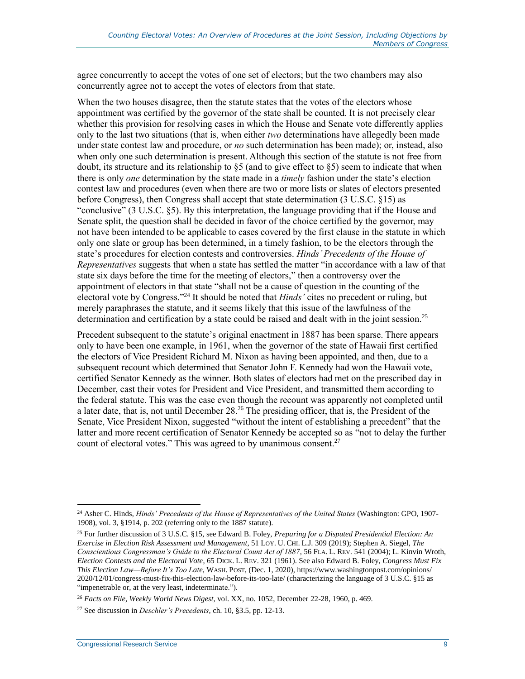agree concurrently to accept the votes of one set of electors; but the two chambers may also concurrently agree not to accept the votes of electors from that state.

When the two houses disagree, then the statute states that the votes of the electors whose appointment was certified by the governor of the state shall be counted. It is not precisely clear whether this provision for resolving cases in which the House and Senate vote differently applies only to the last two situations (that is, when either *two* determinations have allegedly been made under state contest law and procedure, or *no* such determination has been made); or, instead, also when only one such determination is present. Although this section of the statute is not free from doubt, its structure and its relationship to  $\S5$  (and to give effect to  $\S5$ ) seem to indicate that when there is only *one* determination by the state made in a *timely* fashion under the state's election contest law and procedures (even when there are two or more lists or slates of electors presented before Congress), then Congress shall accept that state determination (3 U.S.C. §15) as "conclusive" (3 U.S.C. §5). By this interpretation, the language providing that if the House and Senate split, the question shall be decided in favor of the choice certified by the governor, may not have been intended to be applicable to cases covered by the first clause in the statute in which only one slate or group has been determined, in a timely fashion, to be the electors through the state's procedures for election contests and controversies. *Hinds' Precedents of the House of Representatives* suggests that when a state has settled the matter "in accordance with a law of that state six days before the time for the meeting of electors," then a controversy over the appointment of electors in that state "shall not be a cause of question in the counting of the electoral vote by Congress." <sup>24</sup> It should be noted that *Hinds'* cites no precedent or ruling, but merely paraphrases the statute, and it seems likely that this issue of the lawfulness of the determination and certification by a state could be raised and dealt with in the joint session.<sup>25</sup>

Precedent subsequent to the statute's original enactment in 1887 has been sparse. There appears only to have been one example, in 1961, when the governor of the state of Hawaii first certified the electors of Vice President Richard M. Nixon as having been appointed, and then, due to a subsequent recount which determined that Senator John F. Kennedy had won the Hawaii vote, certified Senator Kennedy as the winner. Both slates of electors had met on the prescribed day in December, cast their votes for President and Vice President, and transmitted them according to the federal statute. This was the case even though the recount was apparently not completed until a later date, that is, not until December 28.<sup>26</sup> The presiding officer, that is, the President of the Senate, Vice President Nixon, suggested "without the intent of establishing a precedent" that the latter and more recent certification of Senator Kennedy be accepted so as "not to delay the further count of electoral votes." This was agreed to by unanimous consent. $27$ 

<span id="page-11-0"></span> $\overline{a}$ <sup>24</sup> Asher C. Hinds, *Hinds' Precedents of the House of Representatives of the United States* (Washington: GPO, 1907- 1908), vol. 3, §1914, p. 202 (referring only to the 1887 statute).

<sup>25</sup> For further discussion of 3 U.S.C. §15, see Edward B. Foley, *Preparing for a Disputed Presidential Election: An Exercise in Election Risk Assessment and Management*, 51 LOY. U. CHI. L.J. 309 (2019); Stephen A. Siegel, *The Conscientious Congressman's Guide to the Electoral Count Act of 1887*, 56 FLA. L. REV. 541 (2004); L. Kinvin Wroth, *Election Contests and the Electoral Vote*, 65 DICK. L. REV. 321 (1961). See also Edward B. Foley, *Congress Must Fix This Election Law—Before It's Too Late,* WASH. POST, (Dec. 1, 2020), https://www.washingtonpost.com/opinions/ 2020/12/01/congress-must-fix-this-election-law-before-its-too-late/ (characterizing the language of 3 U.S.C. §15 as "impenetrable or, at the very least, indeterminate.").

<sup>26</sup> *Facts on File, Weekly World News Digest*, vol. XX, no. 1052, December 22-28, 1960, p. 469.

<sup>27</sup> See discussion in *Deschler's Precedents*, ch. 10, §3.5, pp. 12-13.